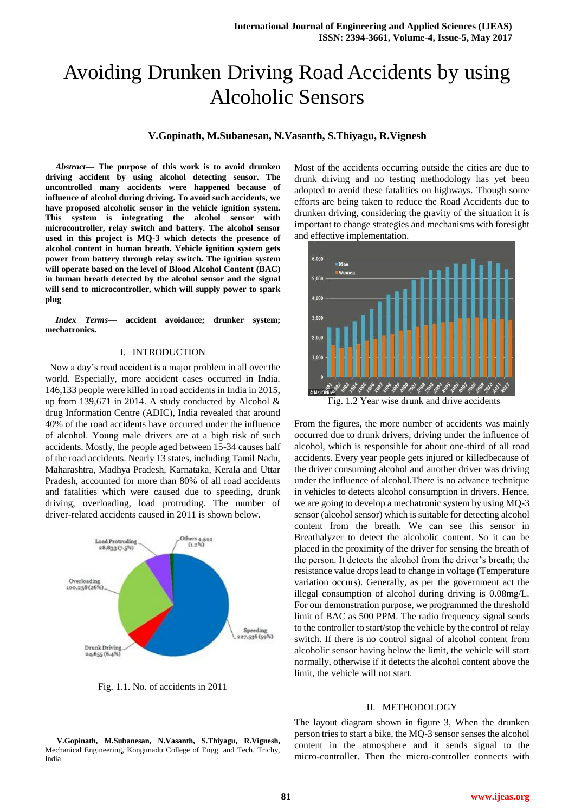# Avoiding Drunken Driving Road Accidents by using Alcoholic Sensors

## **V.Gopinath, M.Subanesan, N.Vasanth, S.Thiyagu, R.Vignesh**

*Abstract***— The purpose of this work is to avoid drunken driving accident by using alcohol detecting sensor. The uncontrolled many accidents were happened because of influence of alcohol during driving. To avoid such accidents, we have proposed alcoholic sensor in the vehicle ignition system. This system is integrating the alcohol sensor with microcontroller, relay switch and battery. The alcohol sensor used in this project is MQ-3 which detects the presence of alcohol content in human breath. Vehicle ignition system gets power from battery through relay switch. The ignition system will operate based on the level of Blood Alcohol Content (BAC) in human breath detected by the alcohol sensor and the signal will send to microcontroller, which will supply power to spark plug**

*Index Terms***— accident avoidance; drunker system; mechatronics.**

#### I. INTRODUCTION

 Now a day's road accident is a major problem in all over the world. Especially, more accident cases occurred in India. 146,133 people were killed in road accidents in India in 2015, up from 139,671 in 2014. A study conducted by Alcohol & drug Information Centre (ADIC), India revealed that around 40% of the road accidents have occurred under the influence of alcohol. Young male drivers are at a high risk of such accidents. Mostly, the people aged between 15-34 causes half of the road accidents. Nearly 13 states, including Tamil Nadu, Maharashtra, Madhya Pradesh, Karnataka, Kerala and Uttar Pradesh, accounted for more than 80% of all road accidents and fatalities which were caused due to speeding, drunk driving, overloading, load protruding. The number of driver-related accidents caused in 2011 is shown below.



Fig. 1.1. No. of accidents in 2011

Most of the accidents occurring outside the cities are due to drunk driving and no testing methodology has yet been adopted to avoid these fatalities on highways. Though some efforts are being taken to reduce the Road Accidents due to drunken driving, considering the gravity of the situation it is important to change strategies and mechanisms with foresight and effective implementation.



Fig. 1.2 Year wise drunk and drive accidents

From the figures, the more number of accidents was mainly occurred due to drunk drivers, driving under the influence of alcohol, which is responsible for about one-third of all road accidents. Every year people gets injured or killedbecause of the driver consuming alcohol and another driver was driving under the influence of alcohol.There is no advance technique in vehicles to detects alcohol consumption in drivers. Hence, we are going to develop a mechatronic system by using MQ-3 sensor (alcohol sensor) which is suitable for detecting alcohol content from the breath. We can see this sensor in Breathalyzer to detect the alcoholic content. So it can be placed in the proximity of the driver for sensing the breath of the person. It detects the alcohol from the driver's breath; the resistance value drops lead to change in voltage (Temperature variation occurs). Generally, as per the government act the illegal consumption of alcohol during driving is 0.08mg/L. For our demonstration purpose, we programmed the threshold limit of BAC as 500 PPM. The radio frequency signal sends to the controller to start/stop the vehicle by the control of relay switch. If there is no control signal of alcohol content from alcoholic sensor having below the limit, the vehicle will start normally, otherwise if it detects the alcohol content above the limit, the vehicle will not start.

#### II. METHODOLOGY

The layout diagram shown in figure 3, When the drunken person tries to start a bike, the MQ-3 sensor senses the alcohol content in the atmosphere and it sends signal to the micro-controller. Then the micro-controller connects with

**V.Gopinath, M.Subanesan, N.Vasanth, S.Thiyagu, R.Vignesh,**  Mechanical Engineering, Kongunadu College of Engg. and Tech. Trichy, India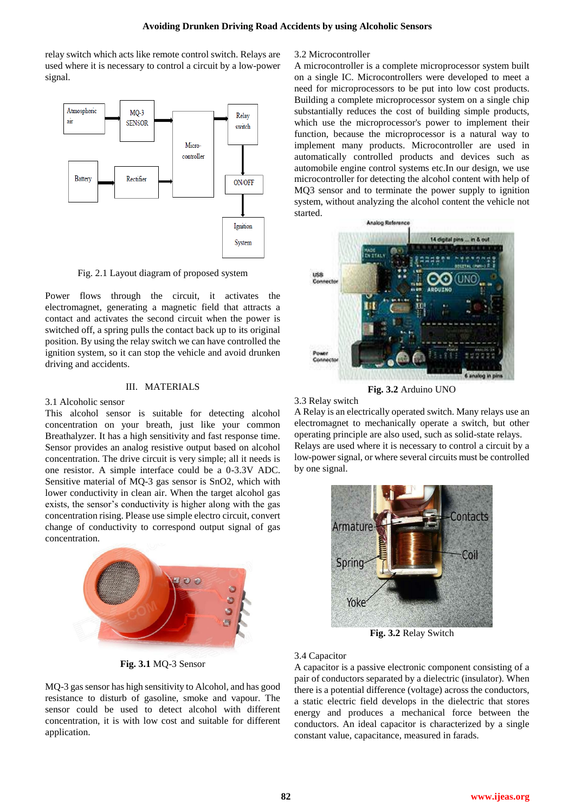relay switch which acts like remote control switch. Relays are used where it is necessary to control a circuit by a low-power signal.



Fig. 2.1 Layout diagram of proposed system

Power flows through the circuit, it activates the electromagnet, generating a magnetic field that attracts a contact and activates the second circuit when the power is switched off, a spring pulls the contact back up to its original position. By using the relay switch we can have controlled the ignition system, so it can stop the vehicle and avoid drunken driving and accidents.

## III. MATERIALS

#### 3.1 Alcoholic sensor

This alcohol sensor is suitable for detecting alcohol concentration on your breath, just like your common Breathalyzer. It has a high sensitivity and fast response time. Sensor provides an analog resistive output based on alcohol concentration. The drive circuit is very simple; all it needs is one resistor. A simple interface could be a 0-3.3V ADC. Sensitive material of MQ-3 gas sensor is SnO2, which with lower conductivity in clean air. When the target alcohol gas exists, the sensor's conductivity is higher along with the gas concentration rising. Please use simple electro circuit, convert change of conductivity to correspond output signal of gas concentration.



**Fig. 3.1** MQ-3 Sensor

MQ-3 gas sensor has high sensitivity to Alcohol, and has good resistance to disturb of gasoline, smoke and vapour. The sensor could be used to detect alcohol with different concentration, it is with low cost and suitable for different application.

#### 3.2 Microcontroller

A microcontroller is a complete microprocessor system built on a single IC. Microcontrollers were developed to meet a need for microprocessors to be put into low cost products. Building a complete microprocessor system on a single chip substantially reduces the cost of building simple products, which use the microprocessor's power to implement their function, because the microprocessor is a natural way to implement many products. Microcontroller are used in automatically controlled products and devices such as automobile engine control systems etc.In our design, we use microcontroller for detecting the alcohol content with help of MQ3 sensor and to terminate the power supply to ignition system, without analyzing the alcohol content the vehicle not started.



**Fig. 3.2** Arduino UNO

3.3 Relay switch

A Relay is an electrically operated switch. Many relays use an electromagnet to mechanically operate a switch, but other operating principle are also used, such as solid-state relays. Relays are used where it is necessary to control a circuit by a low-power signal, or where several circuits must be controlled by one signal.



**Fig. 3.2** Relay Switch

### 3.4 Capacitor

A capacitor is a passive electronic component consisting of a pair of conductors separated by a dielectric (insulator). When there is a potential difference (voltage) across the conductors, a static electric field develops in the dielectric that stores energy and produces a mechanical force between the conductors. An ideal capacitor is characterized by a single constant value, capacitance, measured in farads.